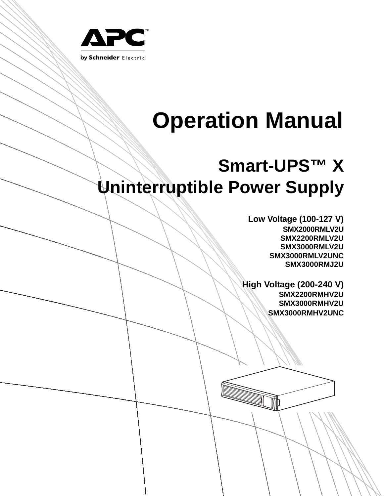

# **Operation Manual**

# **Smart-UPS™ X Uninterruptible Power Supply**

**Low Voltage (100-127 V) SMX2000RMLV2U SMX2200RMLV2U SMX3000RMLV2U SMX3000RMLV2UNC SMX3000RMJ2U**

**High Voltage (200-240 V) SMX2200RMHV2U SMX3000RMHV2U SMX3000RMHV2UNC**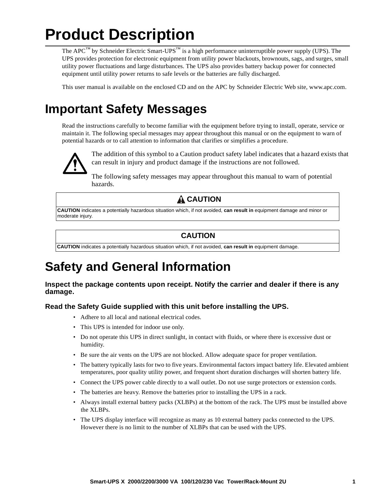# **Product Description**

The APC™ by Schneider Electric Smart-UPS™ is a high performance uninterruptible power supply (UPS). The UPS provides protection for electronic equipment from utility power blackouts, brownouts, sags, and surges, small utility power fluctuations and large disturbances. The UPS also provides battery backup power for connected equipment until utility power returns to safe levels or the batteries are fully discharged.

This user manual is available on the enclosed CD and on the APC by Schneider Electric Web site, www.apc.com.

### **Important Safety Messages**

Read the instructions carefully to become familiar with the equipment before trying to install, operate, service or maintain it. The following special messages may appear throughout this manual or on the equipment to warn of potential hazards or to call attention to information that clarifies or simplifies a procedure.



The addition of this symbol to a Caution product safety label indicates that a hazard exists that can result in injury and product damage if the instructions are not followed.

The following safety messages may appear throughout this manual to warn of potential hazards.

### **A** CAUTION

**CAUTION** indicates a potentially hazardous situation which, if not avoided, **can result in** equipment damage and minor or moderate injury.

### **CAUTION**

**CAUTION** indicates a potentially hazardous situation which, if not avoided, **can result in** equipment damage.

# **Safety and General Information**

**Inspect the package contents upon receipt. Notify the carrier and dealer if there is any damage.**

### **Read the Safety Guide supplied with this unit before installing the UPS.**

- Adhere to all local and national electrical codes.
- This UPS is intended for indoor use only.
- Do not operate this UPS in direct sunlight, in contact with fluids, or where there is excessive dust or humidity.
- Be sure the air vents on the UPS are not blocked. Allow adequate space for proper ventilation.
- The battery typically lasts for two to five years. Environmental factors impact battery life. Elevated ambient temperatures, poor quality utility power, and frequent short duration discharges will shorten battery life.
- Connect the UPS power cable directly to a wall outlet. Do not use surge protectors or extension cords.
- The batteries are heavy. Remove the batteries prior to installing the UPS in a rack.
- Always install external battery packs (XLBPs) at the bottom of the rack. The UPS must be installed above the XLBPs.
- The UPS display interface will recognize as many as 10 external battery packs connected to the UPS. However there is no limit to the number of XLBPs that can be used with the UPS.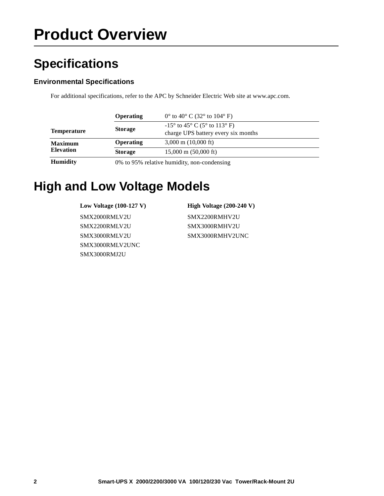# **Product Overview**

# **Specifications**

### **Environmental Specifications**

For additional specifications, refer to the APC by Schneider Electric Web site at www.apc.com.

|                                    | Operating                                   | $0^{\circ}$ to 40° C (32° to 104° F)                                         |  |
|------------------------------------|---------------------------------------------|------------------------------------------------------------------------------|--|
| <b>Temperature</b>                 | <b>Storage</b>                              | $-15^{\circ}$ to 45° C (5° to 113° F)<br>charge UPS battery every six months |  |
| <b>Maximum</b><br><b>Elevation</b> | Operating                                   | $3,000 \text{ m}$ (10,000 ft)                                                |  |
|                                    | <b>Storage</b>                              | $15,000 \text{ m}$ (50,000 ft)                                               |  |
| <b>Humidity</b>                    | 0% to 95% relative humidity, non-condensing |                                                                              |  |

### **High and Low Voltage Models**

**Low Voltage (100-127 V) High Voltage (200-240 V)** SMX2000RMLV2U SMX2200RMHV2U SMX2200RMLV2U SMX3000RMHV2U SMX3000RMLV2U SMX3000RMHV2UNC SMX3000RMLV2UNC SMX3000RMJ2U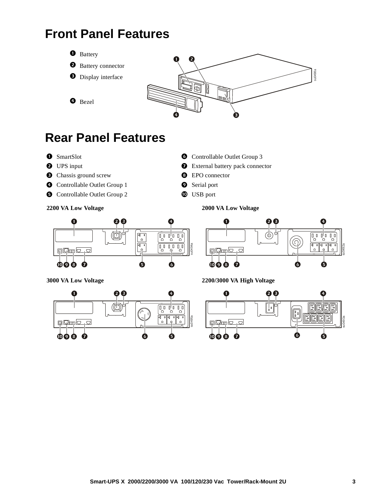# **Front Panel Features**



# **Rear Panel Features**

- 
- 
- **O** Chassis ground screw **C** EPO connector
- **O** Controllable Outlet Group 1 **Serial port**
- **O** Controllable Outlet Group 2 **CO** USB port



- **O** UPS input **O** External battery pack connector
	-
	-
	-

**2200 VA Low Voltage 2000 VA Low Voltage**





**PLAN** ര Furito su0492a **TO DOM** QQ 0  $\bullet$ ß Ô

**3000 VA Low Voltage 2200/3000 VA High Voltage**

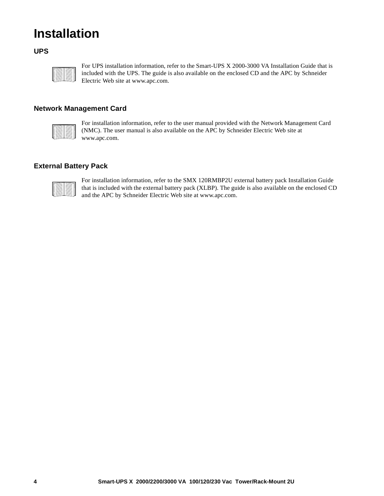# **Installation**

### **UPS**



For UPS installation information, refer to the Smart-UPS X 2000-3000 VA Installation Guide that is included with the UPS. The guide is also available on the enclosed CD and the APC by Schneider Electric Web site at www.apc.com.

### **Network Management Card**

For installation information, refer to the user manual provided with the Network Management Card (NMC). The user manual is also available on the APC by Schneider Electric Web site at www.apc.com.

### **External Battery Pack**



For installation information, refer to the SMX 120RMBP2U external battery pack Installation Guide that is included with the external battery pack (XLBP). The guide is also available on the enclosed CD and the APC by Schneider Electric Web site at www.apc.com.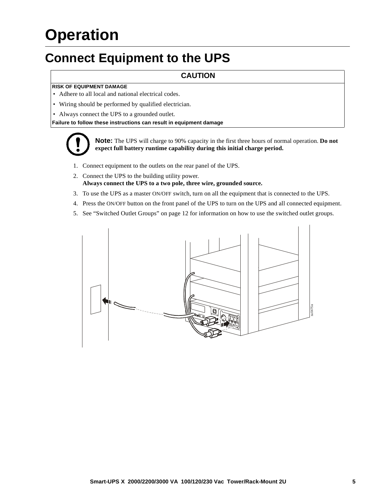# **Operation**

# **Connect Equipment to the UPS**

### **CAUTION**

### **RISK OF EQUIPMENT DAMAGE**

- Adhere to all local and national electrical codes.
- Wiring should be performed by qualified electrician.
- Always connect the UPS to a grounded outlet.

**Failure to follow these instructions can result in equipment damage**



**Note:** The UPS will charge to 90% capacity in the first three hours of normal operation. **Do not expect full battery runtime capability during this initial charge period.**

- 1. Connect equipment to the outlets on the rear panel of the UPS.
- 2. Connect the UPS to the building utility power. **Always connect the UPS to a two pole, three wire, grounded source.**
- 3. To [use the UPS as a master ON/OFF switch](#page-12-0), turn on all the equipment that is connected to the UPS.
- 4. Press the ON/OFF button on the front panel of the UPS to turn on the UPS and all connected equipment.
- 5. See "Switched Outlet Groups" on page 12 for information on how to use the switched outlet groups.

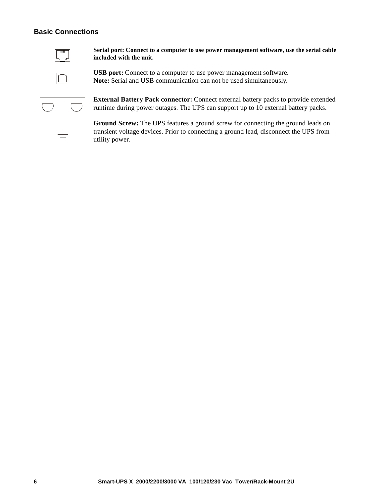### **Basic Connections**



**Serial port: Connect to a computer to use power management software, use the serial cable included with the unit.**



**USB port:** Connect to a computer to use power management software. **Note:** Serial and USB communication can not be used simultaneously.



**External Battery Pack connector:** Connect external battery packs to provide extended runtime during power outages. The UPS can support up to 10 external battery packs.



**Ground Screw:** The UPS features a ground screw for connecting the ground leads on transient voltage devices. Prior to connecting a ground lead, disconnect the UPS from utility power.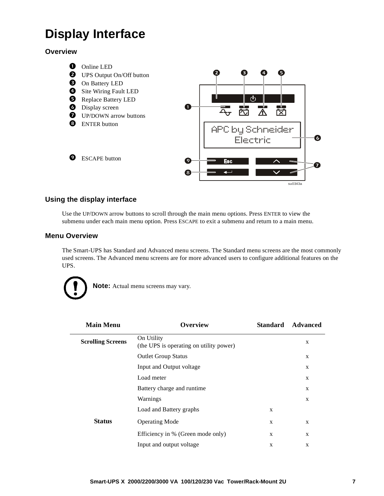# **Display Interface**

**Overview**



### **Using the display interface**

Use the UP/DOWN arrow buttons to scroll through the main menu options. Press ENTER to view the submenu under each main menu option. Press ESCAPE to exit a submenu and return to a main menu.

### **Menu Overview**

The Smart-UPS has Standard and Advanced menu screens. The Standard menu screens are the most commonly used screens. The Advanced menu screens are for more advanced users to configure additional features on the UPS.



**Note:** Actual menu screens may vary.

| <b>Main Menu</b>         | Overview                                              | <b>Standard</b> | <b>Advanced</b> |
|--------------------------|-------------------------------------------------------|-----------------|-----------------|
| <b>Scrolling Screens</b> | On Utility<br>(the UPS is operating on utility power) |                 | X               |
|                          | <b>Outlet Group Status</b>                            |                 | $\mathbf{X}$    |
|                          | Input and Output voltage                              |                 | X               |
|                          | Load meter                                            |                 | X               |
|                          | Battery charge and runtime                            |                 | X               |
|                          | Warnings                                              |                 | X               |
|                          | Load and Battery graphs                               | X               |                 |
| <b>Status</b>            | <b>Operating Mode</b>                                 | X               | X               |
|                          | Efficiency in % (Green mode only)                     | X               | X               |
|                          | Input and output voltage                              | X               | X               |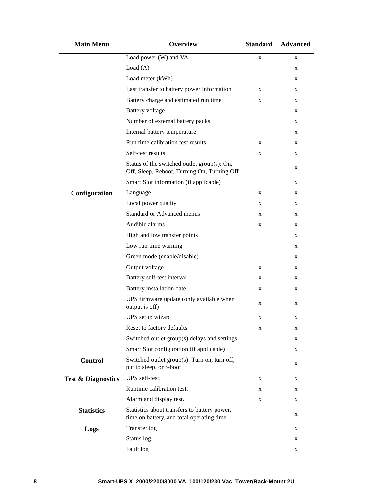| <b>Main Menu</b>              | <b>Overview</b>                                                                            | <b>Standard</b> | <b>Advanced</b> |
|-------------------------------|--------------------------------------------------------------------------------------------|-----------------|-----------------|
|                               | Load power (W) and VA                                                                      | $\mathbf X$     | X               |
|                               | Load $(A)$                                                                                 |                 | X               |
|                               | Load meter (kWh)                                                                           |                 | X               |
|                               | Last transfer to battery power information                                                 | X               | X               |
|                               | Battery charge and estimated run time                                                      | X               | X               |
|                               | <b>Battery</b> voltage                                                                     |                 | X               |
|                               | Number of external battery packs                                                           |                 | X               |
|                               | Internal battery temperature                                                               |                 | X               |
|                               | Run time calibration test results                                                          | X               | X               |
|                               | Self-test results                                                                          | X               | X               |
|                               | Status of the switched outlet group(s): On,<br>Off, Sleep, Reboot, Turning On, Turning Off |                 | X               |
|                               | Smart Slot information (if applicable)                                                     |                 | X               |
| Configuration                 | Language                                                                                   | X               | X               |
|                               | Local power quality                                                                        | X               | X               |
|                               | <b>Standard or Advanced menus</b>                                                          | X               | X               |
|                               | Audible alarms                                                                             | X               | X               |
|                               | High and low transfer points                                                               |                 | X               |
|                               | Low run time warning                                                                       |                 | X               |
|                               | Green mode (enable/disable)                                                                |                 | X               |
|                               | Output voltage                                                                             | X               | X               |
|                               | Battery self-test interval                                                                 | X               | X               |
|                               | Battery installation date                                                                  | X               | X               |
|                               | UPS firmware update (only available when<br>output is off)                                 | X               | X               |
|                               | UPS setup wizard                                                                           | X               | X               |
|                               | Reset to factory defaults                                                                  | X               | X               |
|                               | Switched outlet group(s) delays and settings                                               |                 | X               |
|                               | Smart Slot configuration (if applicable)                                                   |                 | X               |
| Control                       | Switched outlet group(s): Turn on, turn off,<br>put to sleep, or reboot                    |                 | X               |
| <b>Test &amp; Diagnostics</b> | UPS self-test.                                                                             | X               | X               |
|                               | Runtime calibration test.                                                                  | X               | X               |
|                               | Alarm and display test.                                                                    | X               | X               |
| <b>Statistics</b>             | Statistics about transfers to battery power,<br>time on battery, and total operating time  |                 | X               |
| Logs                          | Transfer log                                                                               |                 | X               |
|                               | Status log                                                                                 |                 | X               |
|                               | Fault log                                                                                  |                 | X               |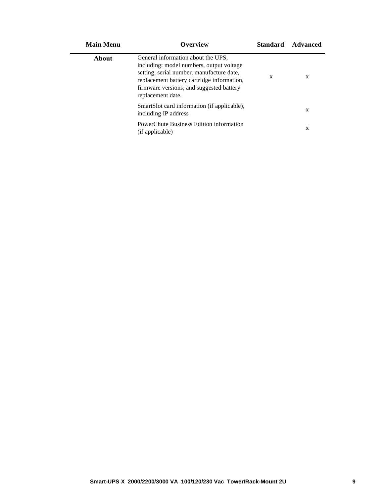| <b>Main Menu</b> | Overview                                                                                                                                                                                                                                   | <b>Standard</b> | Advanced |
|------------------|--------------------------------------------------------------------------------------------------------------------------------------------------------------------------------------------------------------------------------------------|-----------------|----------|
| About            | General information about the UPS,<br>including: model numbers, output voltage<br>setting, serial number, manufacture date,<br>replacement battery cartridge information,<br>firmware versions, and suggested battery<br>replacement date. | X               | X        |
|                  | SmartSlot card information (if applicable),<br>including IP address                                                                                                                                                                        |                 | X        |
|                  | PowerChute Business Edition information<br>(if applicable)                                                                                                                                                                                 |                 | X        |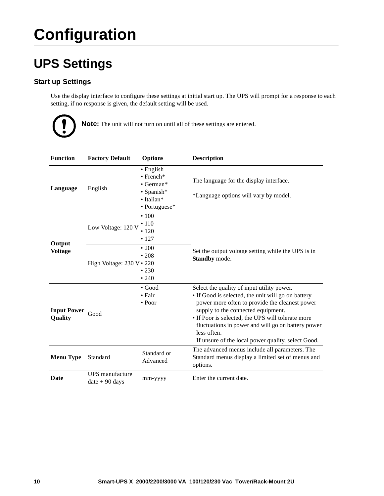# **Configuration**

# **UPS Settings**

### **Start up Settings**

Use the display interface to configure these settings at initial start up. The UPS will prompt for a response to each setting, if no response is given, the default setting will be used.



**Note:** The unit will not turn on until all of these settings are entered.

| <b>Function</b>               | <b>Factory Default</b>                  | <b>Options</b>                                                                                           | <b>Description</b>                                                                                                                                                                                                                                                                                                                                                       |
|-------------------------------|-----------------------------------------|----------------------------------------------------------------------------------------------------------|--------------------------------------------------------------------------------------------------------------------------------------------------------------------------------------------------------------------------------------------------------------------------------------------------------------------------------------------------------------------------|
| Language                      | English                                 | $\bullet$ English<br>$\bullet$ French*<br>$\bullet$ German*<br>• Spanish*<br>• Italian*<br>• Portuguese* | The language for the display interface.<br>*Language options will vary by model.                                                                                                                                                                                                                                                                                         |
| Output                        | Low Voltage: 120 V                      | $\cdot$ 100<br>$\cdot$ 110<br>•120<br>• 127                                                              |                                                                                                                                                                                                                                                                                                                                                                          |
| <b>Voltage</b>                | High Voltage: $230 \text{ V} \cdot 220$ | $\cdot$ 200<br>•208<br>•230<br>•240                                                                      | Set the output voltage setting while the UPS is in<br>Standby mode.                                                                                                                                                                                                                                                                                                      |
| <b>Input Power</b><br>Quality | Good                                    | $\bullet$ Good<br>$\bullet$ Fair<br>$\bullet$ Poor                                                       | Select the quality of input utility power.<br>• If Good is selected, the unit will go on battery<br>power more often to provide the cleanest power<br>supply to the connected equipment.<br>• If Poor is selected, the UPS will tolerate more<br>fluctuations in power and will go on battery power<br>less often.<br>If unsure of the local power quality, select Good. |
| <b>Menu Type</b>              | Standard                                | Standard or<br>Advanced                                                                                  | The advanced menus include all parameters. The<br>Standard menus display a limited set of menus and<br>options.                                                                                                                                                                                                                                                          |
| Date                          | UPS manufacture<br>$date + 90 days$     | mm-yyyy                                                                                                  | Enter the current date.                                                                                                                                                                                                                                                                                                                                                  |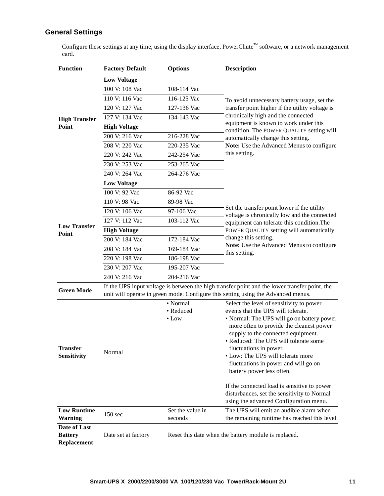### **General Settings**

Configure these settings at any time, using the display interface, PowerChute™ software, or a network management card.

| <b>Function</b>                               | <b>Factory Default</b> | <b>Options</b>              | <b>Description</b>                                                                                                                                                                                                                                                                                                                              |  |
|-----------------------------------------------|------------------------|-----------------------------|-------------------------------------------------------------------------------------------------------------------------------------------------------------------------------------------------------------------------------------------------------------------------------------------------------------------------------------------------|--|
|                                               | <b>Low Voltage</b>     |                             |                                                                                                                                                                                                                                                                                                                                                 |  |
|                                               | 100 V: 108 Vac         | 108-114 Vac                 |                                                                                                                                                                                                                                                                                                                                                 |  |
|                                               | 110 V: 116 Vac         | 116-125 Vac                 | To avoid unnecessary battery usage, set the                                                                                                                                                                                                                                                                                                     |  |
|                                               | 120 V: 127 Vac         | 127-136 Vac                 | transfer point higher if the utility voltage is                                                                                                                                                                                                                                                                                                 |  |
| <b>High Transfer</b>                          | 127 V: 134 Vac         | 134-143 Vac                 | chronically high and the connected                                                                                                                                                                                                                                                                                                              |  |
| Point                                         | <b>High Voltage</b>    |                             | equipment is known to work under this<br>condition. The POWER QUALITY setting will                                                                                                                                                                                                                                                              |  |
|                                               | 200 V: 216 Vac         | 216-228 Vac                 | automatically change this setting.                                                                                                                                                                                                                                                                                                              |  |
|                                               | 208 V: 220 Vac         | 220-235 Vac                 | Note: Use the Advanced Menus to configure                                                                                                                                                                                                                                                                                                       |  |
|                                               | 220 V: 242 Vac         | 242-254 Vac                 | this setting.                                                                                                                                                                                                                                                                                                                                   |  |
|                                               | 230 V: 253 Vac         | 253-265 Vac                 |                                                                                                                                                                                                                                                                                                                                                 |  |
|                                               | 240 V: 264 Vac         | 264-276 Vac                 |                                                                                                                                                                                                                                                                                                                                                 |  |
|                                               | <b>Low Voltage</b>     |                             |                                                                                                                                                                                                                                                                                                                                                 |  |
|                                               | 100 V: 92 Vac          | 86-92 Vac                   |                                                                                                                                                                                                                                                                                                                                                 |  |
|                                               | 110 V: 98 Vac          | 89-98 Vac                   |                                                                                                                                                                                                                                                                                                                                                 |  |
|                                               | 120 V: 106 Vac         | 97-106 Vac                  | Set the transfer point lower if the utility<br>voltage is chronically low and the connected                                                                                                                                                                                                                                                     |  |
|                                               | 127 V: 112 Vac         | 103-112 Vac                 | equipment can tolerate this condition. The                                                                                                                                                                                                                                                                                                      |  |
| <b>Low Transfer</b><br>Point                  | <b>High Voltage</b>    |                             | POWER QUALITY setting will automatically                                                                                                                                                                                                                                                                                                        |  |
|                                               | 200 V: 184 Vac         | 172-184 Vac                 | change this setting.                                                                                                                                                                                                                                                                                                                            |  |
|                                               | 208 V: 184 Vac         | 169-184 Vac                 | Note: Use the Advanced Menus to configure                                                                                                                                                                                                                                                                                                       |  |
|                                               | 220 V: 198 Vac         | 186-198 Vac                 | this setting.                                                                                                                                                                                                                                                                                                                                   |  |
|                                               | 230 V: 207 Vac         | 195-207 Vac                 |                                                                                                                                                                                                                                                                                                                                                 |  |
|                                               | 240 V: 216 Vac         | 204-216 Vac                 |                                                                                                                                                                                                                                                                                                                                                 |  |
| <b>Green Mode</b>                             |                        |                             | If the UPS input voltage is between the high transfer point and the lower transfer point, the<br>unit will operate in green mode. Configure this setting using the Advanced menus.                                                                                                                                                              |  |
|                                               |                        | • Normal                    | Select the level of sensitivity to power                                                                                                                                                                                                                                                                                                        |  |
| <b>Transfer</b><br><b>Sensitivity</b>         | Normal                 | • Reduced<br>$\bullet$ Low  | events that the UPS will tolerate.<br>• Normal: The UPS will go on battery power<br>more often to provide the cleanest power<br>supply to the connected equipment.<br>• Reduced: The UPS will tolerate some<br>fluctuations in power.<br>• Low: The UPS will tolerate more<br>fluctuations in power and will go on<br>battery power less often. |  |
|                                               |                        |                             | If the connected load is sensitive to power<br>disturbances, set the sensitivity to Normal<br>using the advanced Configuration menu.                                                                                                                                                                                                            |  |
| <b>Low Runtime</b><br><b>Warning</b>          | 150 sec                | Set the value in<br>seconds | The UPS will emit an audible alarm when<br>the remaining runtime has reached this level.                                                                                                                                                                                                                                                        |  |
| Date of Last<br><b>Battery</b><br>Replacement | Date set at factory    |                             | Reset this date when the battery module is replaced.                                                                                                                                                                                                                                                                                            |  |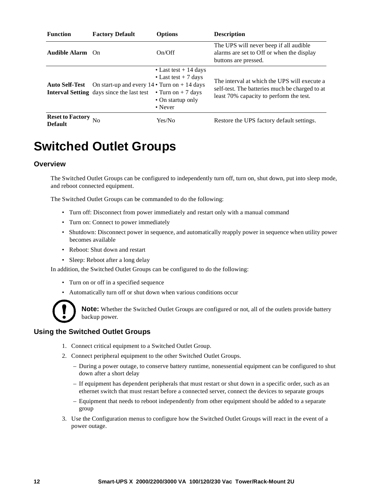| <b>Function</b>                           | <b>Factory Default</b>                                                                                   | <b>Options</b>                                                                                                  | <b>Description</b>                                                                                                                        |
|-------------------------------------------|----------------------------------------------------------------------------------------------------------|-----------------------------------------------------------------------------------------------------------------|-------------------------------------------------------------------------------------------------------------------------------------------|
| <b>Audible Alarm</b> On                   |                                                                                                          | On/Off                                                                                                          | The UPS will never beep if all audible<br>alarms are set to Off or when the display<br>buttons are pressed.                               |
| <b>Auto Self-Test</b>                     | On start-up and every $14 \cdot$ Turn on $+ 14$ days<br><b>Interval Setting</b> days since the last test | • Last test $+$ 14 days<br>• Last test $+7$ days<br>• Turn on $+7$ days<br>• On startup only<br>$\bullet$ Never | The interval at which the UPS will execute a<br>self-test. The batteries much be charged to at<br>least 70% capacity to perform the test. |
| <b>Reset to Factory</b><br><b>Default</b> | N <sub>0</sub>                                                                                           | Yes/No                                                                                                          | Restore the UPS factory default settings.                                                                                                 |

### <span id="page-12-0"></span>**Switched Outlet Groups**

### **Overview**

The Switched Outlet Groups can be configured to independently turn off, turn on, shut down, put into sleep mode, and reboot connected equipment.

The Switched Outlet Groups can be commanded to do the following:

- Turn off: Disconnect from power immediately and restart only with a manual command
- Turn on: Connect to power immediately
- Shutdown: Disconnect power in sequence, and automatically reapply power in sequence when utility power becomes available
- Reboot: Shut down and restart
- Sleep: Reboot after a long delay

In addition, the Switched Outlet Groups can be configured to do the following:

- Turn on or off in a specified sequence
- Automatically turn off or shut down when various conditions occur



**Note:** Whether the Switched Outlet Groups are configured or not, all of the outlets provide battery backup power.

### **Using the Switched Outlet Groups**

- 1. Connect critical equipment to a Switched Outlet Group.
- 2. Connect peripheral equipment to the other Switched Outlet Groups.
	- During a power outage, to conserve battery runtime, nonessential equipment can be configured to shut down after a short delay
	- If equipment has dependent peripherals that must restart or shut down in a specific order, such as an ethernet switch that must restart before a connected server, connect the devices to separate groups
	- Equipment that needs to reboot independently from other equipment should be added to a separate group
- 3. Use the Configuration menus to configure how the Switched Outlet Groups will react in the event of a power outage.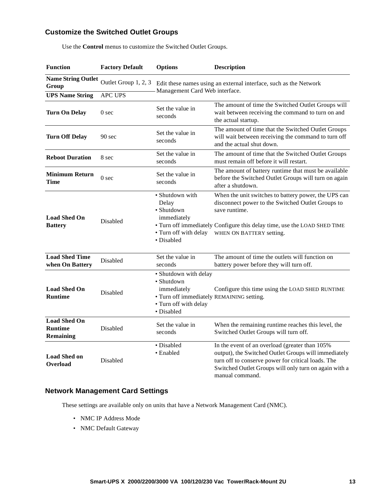### **Customize the Switched Outlet Groups**

| <b>Function</b>                                           | <b>Factory Default</b> | <b>Options</b>                                                                                                                         | <b>Description</b>                                                                                                                                                                                                                       |
|-----------------------------------------------------------|------------------------|----------------------------------------------------------------------------------------------------------------------------------------|------------------------------------------------------------------------------------------------------------------------------------------------------------------------------------------------------------------------------------------|
| <b>Name String Outlet</b><br>Group                        | Outlet Group 1, 2, 3   | Edit these names using an external interface, such as the Network<br>Management Card Web interface.                                    |                                                                                                                                                                                                                                          |
| <b>UPS Name String</b>                                    | <b>APC UPS</b>         |                                                                                                                                        |                                                                                                                                                                                                                                          |
| <b>Turn On Delay</b>                                      | 0 <sub>sec</sub>       | Set the value in<br>seconds                                                                                                            | The amount of time the Switched Outlet Groups will<br>wait between receiving the command to turn on and<br>the actual startup.                                                                                                           |
| <b>Turn Off Delay</b>                                     | 90 sec                 | Set the value in<br>seconds                                                                                                            | The amount of time that the Switched Outlet Groups<br>will wait between receiving the command to turn off<br>and the actual shut down.                                                                                                   |
| <b>Reboot Duration</b>                                    | 8 sec                  | Set the value in<br>seconds                                                                                                            | The amount of time that the Switched Outlet Groups<br>must remain off before it will restart.                                                                                                                                            |
| <b>Minimum Return</b><br><b>Time</b>                      | 0 <sub>sec</sub>       | Set the value in<br>seconds                                                                                                            | The amount of battery runtime that must be available<br>before the Switched Outlet Groups will turn on again<br>after a shutdown.                                                                                                        |
| <b>Load Shed On</b><br><b>Battery</b>                     | Disabled               | • Shutdown with<br>Delay<br>· Shutdown<br>immediately<br>• Turn off with delay<br>• Disabled                                           | When the unit switches to battery power, the UPS can<br>disconnect power to the Switched Outlet Groups to<br>save runtime.<br>• Turn off immediately Configure this delay time, use the LOAD SHED TIME<br>WHEN ON BATTERY setting.       |
| <b>Load Shed Time</b><br>when On Battery                  | Disabled               | Set the value in<br>seconds                                                                                                            | The amount of time the outlets will function on<br>battery power before they will turn off.                                                                                                                                              |
| <b>Load Shed On</b><br><b>Runtime</b>                     | Disabled               | • Shutdown with delay<br>• Shutdown<br>immediately<br>• Turn off immediately REMAINING setting.<br>• Turn off with delay<br>· Disabled | Configure this time using the LOAD SHED RUNTIME                                                                                                                                                                                          |
| <b>Load Shed On</b><br><b>Runtime</b><br><b>Remaining</b> | Disabled               | Set the value in<br>seconds                                                                                                            | When the remaining runtime reaches this level, the<br>Switched Outlet Groups will turn off.                                                                                                                                              |
| <b>Load Shed on</b><br>Overload                           | Disabled               | • Disabled<br>• Enabled                                                                                                                | In the event of an overload (greater than 105%<br>output), the Switched Outlet Groups will immediately<br>turn off to conserve power for critical loads. The<br>Switched Outlet Groups will only turn on again with a<br>manual command. |

Use the **Control** menus to customize the Switched Outlet Groups.

### **Network Management Card Settings**

These settings are available only on units that have a Network Management Card (NMC).

- NMC IP Address Mode
- NMC Default Gateway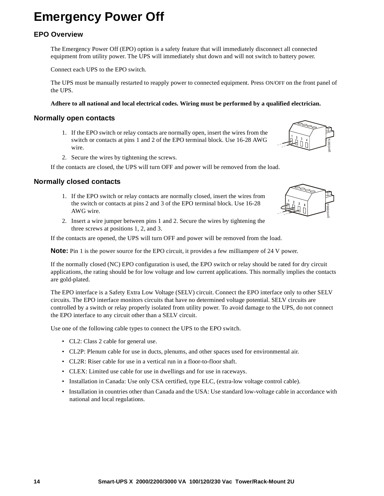# **Emergency Power Off**

### **EPO Overview**

The Emergency Power Off (EPO) option is a safety feature that will immediately disconnect all connected equipment from utility power. The UPS will immediately shut down and will not switch to battery power.

Connect each UPS to the EPO switch.

The UPS must be manually restarted to reapply power to connected equipment. Press ON/OFF on the front panel of the UPS.

#### **Adhere to all national and local electrical codes. Wiring must be performed by a qualified electrician.**

### **Normally open contacts**

- 1. If the EPO switch or relay contacts are normally open, insert the wires from the switch or contacts at pins 1 and 2 of the EPO terminal block. Use 16-28 AWG wire.
- 2. Secure the wires by tightening the screws.

If the contacts are closed, the UPS will turn OFF and power will be removed from the load.

#### **Normally closed contacts**

- 1. If the EPO switch or relay contacts are normally closed, insert the wires from the switch or contacts at pins 2 and 3 of the EPO terminal block. Use 16-28 AWG wire.
- 2. Insert a wire jumper between pins 1 and 2. Secure the wires by tightening the three screws at positions 1, 2, and 3.

If the contacts are opened, the UPS will turn OFF and power will be removed from the load.

**Note:** Pin 1 is the power source for the EPO circuit, it provides a few milliampere of 24 V power.

If the normally closed (NC) EPO configuration is used, the EPO switch or relay should be rated for dry circuit applications, the rating should be for low voltage and low current applications. This normally implies the contacts are gold-plated.

The EPO interface is a Safety Extra Low Voltage (SELV) circuit. Connect the EPO interface only to other SELV circuits. The EPO interface monitors circuits that have no determined voltage potential. SELV circuits are controlled by a switch or relay properly isolated from utility power. To avoid damage to the UPS, do not connect the EPO interface to any circuit other than a SELV circuit.

Use one of the following cable types to connect the UPS to the EPO switch.

- CL2: Class 2 cable for general use.
- CL2P: Plenum cable for use in ducts, plenums, and other spaces used for environmental air.
- CL2R: Riser cable for use in a vertical run in a floor-to-floor shaft.
- CLEX: Limited use cable for use in dwellings and for use in raceways.
- Installation in Canada: Use only CSA certified, type ELC, (extra-low voltage control cable).
- Installation in countries other than Canada and the USA: Use standard low-voltage cable in accordance with national and local regulations.



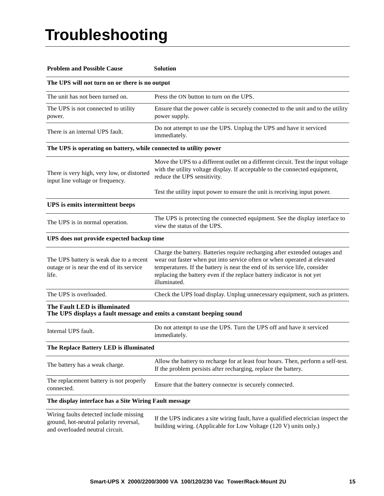# **Troubleshooting**

| <b>Problem and Possible Cause</b>                                                                                   | <b>Solution</b>                                                                                                                                                                                                                                                                                                                 |  |  |
|---------------------------------------------------------------------------------------------------------------------|---------------------------------------------------------------------------------------------------------------------------------------------------------------------------------------------------------------------------------------------------------------------------------------------------------------------------------|--|--|
| The UPS will not turn on or there is no output                                                                      |                                                                                                                                                                                                                                                                                                                                 |  |  |
| The unit has not been turned on.                                                                                    | Press the ON button to turn on the UPS.                                                                                                                                                                                                                                                                                         |  |  |
| The UPS is not connected to utility<br>power.                                                                       | Ensure that the power cable is securely connected to the unit and to the utility<br>power supply.                                                                                                                                                                                                                               |  |  |
| There is an internal UPS fault.                                                                                     | Do not attempt to use the UPS. Unplug the UPS and have it serviced<br>immediately.                                                                                                                                                                                                                                              |  |  |
| The UPS is operating on battery, while connected to utility power                                                   |                                                                                                                                                                                                                                                                                                                                 |  |  |
| There is very high, very low, or distorted<br>input line voltage or frequency.                                      | Move the UPS to a different outlet on a different circuit. Test the input voltage<br>with the utility voltage display. If acceptable to the connected equipment,<br>reduce the UPS sensitivity.                                                                                                                                 |  |  |
|                                                                                                                     | Test the utility input power to ensure the unit is receiving input power.                                                                                                                                                                                                                                                       |  |  |
| UPS is emits intermittent beeps                                                                                     |                                                                                                                                                                                                                                                                                                                                 |  |  |
| The UPS is in normal operation.                                                                                     | The UPS is protecting the connected equipment. See the display interface to<br>view the status of the UPS.                                                                                                                                                                                                                      |  |  |
| UPS does not provide expected backup time                                                                           |                                                                                                                                                                                                                                                                                                                                 |  |  |
| The UPS battery is weak due to a recent<br>outage or is near the end of its service<br>life.                        | Charge the battery. Batteries require recharging after extended outages and<br>wear out faster when put into service often or when operated at elevated<br>temperatures. If the battery is near the end of its service life, consider<br>replacing the battery even if the replace battery indicator is not yet<br>illuminated. |  |  |
| The UPS is overloaded.                                                                                              | Check the UPS load display. Unplug unnecessary equipment, such as printers.                                                                                                                                                                                                                                                     |  |  |
| The Fault LED is illuminated<br>The UPS displays a fault message and emits a constant beeping sound                 |                                                                                                                                                                                                                                                                                                                                 |  |  |
| Internal UPS fault.                                                                                                 | Do not attempt to use the UPS. Turn the UPS off and have it serviced<br>immediately.                                                                                                                                                                                                                                            |  |  |
| The Replace Battery LED is illuminated                                                                              |                                                                                                                                                                                                                                                                                                                                 |  |  |
| The battery has a weak charge.                                                                                      | Allow the battery to recharge for at least four hours. Then, perform a self-test.<br>If the problem persists after recharging, replace the battery.                                                                                                                                                                             |  |  |
| The replacement battery is not properly<br>connected.                                                               | Ensure that the battery connector is securely connected.                                                                                                                                                                                                                                                                        |  |  |
| The display interface has a Site Wiring Fault message                                                               |                                                                                                                                                                                                                                                                                                                                 |  |  |
| Wiring faults detected include missing<br>ground, hot-neutral polarity reversal,<br>and overloaded neutral circuit. | If the UPS indicates a site wiring fault, have a qualified electrician inspect the<br>building wiring. (Applicable for Low Voltage (120 V) units only.)                                                                                                                                                                         |  |  |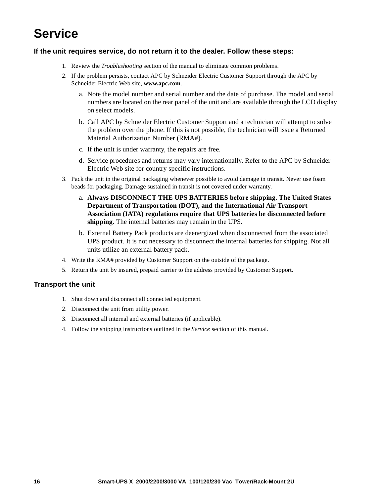# **Service**

### **If the unit requires service, do not return it to the dealer. Follow these steps:**

- 1. Review the *Troubleshooting* section of the manual to eliminate common problems.
- 2. If the problem persists, contact APC by Schneider Electric Customer Support through the APC by Schneider Electric Web site, **www.apc.com**.
	- a. Note the model number and serial number and the date of purchase. The model and serial numbers are located on the rear panel of the unit and are available through the LCD display on select models.
	- b. Call APC by Schneider Electric Customer Support and a technician will attempt to solve the problem over the phone. If this is not possible, the technician will issue a Returned Material Authorization Number (RMA#).
	- c. If the unit is under warranty, the repairs are free.
	- d. Service procedures and returns may vary internationally. Refer to the APC by Schneider Electric Web site for country specific instructions.
- 3. Pack the unit in the original packaging whenever possible to avoid damage in transit. Never use foam beads for packaging. Damage sustained in transit is not covered under warranty.
	- a. **Always DISCONNECT THE UPS BATTERIES before shipping. The United States Department of Transportation (DOT), and the International Air Transport Association (IATA) regulations require that UPS batteries be disconnected before shipping.** The internal batteries may remain in the UPS.
	- b. External Battery Pack products are deenergized when disconnected from the associated UPS product. It is not necessary to disconnect the internal batteries for shipping. Not all units utilize an external battery pack.
- 4. Write the RMA# provided by Customer Support on the outside of the package.
- 5. Return the unit by insured, prepaid carrier to the address provided by Customer Support.

### **Transport the unit**

- 1. Shut down and disconnect all connected equipment.
- 2. Disconnect the unit from utility power.
- 3. Disconnect all internal and external batteries (if applicable).
- 4. Follow the shipping instructions outlined in the *Service* section of this manual.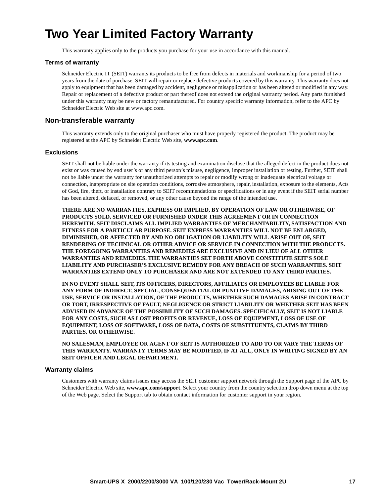### **Two Year Limited Factory Warranty**

This warranty applies only to the products you purchase for your use in accordance with this manual.

#### **Terms of warranty**

Schneider Electric IT (SEIT) warrants its products to be free from defects in materials and workmanship for a period of two years from the date of purchase. SEIT will repair or replace defective products covered by this warranty. This warranty does not apply to equipment that has been damaged by accident, negligence or misapplication or has been altered or modified in any way. Repair or replacement of a defective product or part thereof does not extend the original warranty period. Any parts furnished under this warranty may be new or factory remanufactured. For country specific warranty information, refer to the APC by Schneider Electric Web site at www.apc.com.

#### **[Non-transferable warranty](http://www.apc.com)**

This warranty extends only to the original purchaser who must have properly registered the product. The product may be registered at the APC by Schneider Electric Web site, **www.apc.com**.

#### **Exclusions**

SEIT shall not be liable under the warranty if its testing and examination disclose that the alleged defect in the product does not exist or was caused by end user's or any third person's misuse, negligence, improper installation or testing. Further, SEIT shall not be liable under the warranty for unauthorized attempts to repair or modify wrong or inadequate electrical voltage or connection, inappropriate on site operation conditions, corrosive atmosphere, repair, installation, exposure to the elements, Acts of God, fire, theft, or installation contrary to SEIT recommendations or specifications or in any event if the SEIT serial number has been altered, defaced, or removed, or any other cause beyond the range of the intended use.

**THERE ARE NO WARRANTIES, EXPRESS OR IMPLIED, BY OPERATION OF LAW OR OTHERWISE, OF PRODUCTS SOLD, SERVICED OR FURNISHED UNDER THIS AGREEMENT OR IN CONNECTION HEREWITH. SEIT DISCLAIMS ALL IMPLIED WARRANTIES OF MERCHANTABILITY, SATISFACTION AND FITNESS FOR A PARTICULAR PURPOSE. SEIT EXPRESS WARRANTIES WILL NOT BE ENLARGED, DIMINISHED, OR AFFECTED BY AND NO OBLIGATION OR LIABILITY WILL ARISE OUT OF, SEIT RENDERING OF TECHNICAL OR OTHER ADVICE OR SERVICE IN CONNECTION WITH THE PRODUCTS. THE FOREGOING WARRANTIES AND REMEDIES ARE EXCLUSIVE AND IN LIEU OF ALL OTHER WARRANTIES AND REMEDIES. THE WARRANTIES SET FORTH ABOVE CONSTITUTE SEIT'S SOLE LIABILITY AND PURCHASER'S EXCLUSIVE REMEDY FOR ANY BREACH OF SUCH WARRANTIES. SEIT WARRANTIES EXTEND ONLY TO PURCHASER AND ARE NOT EXTENDED TO ANY THIRD PARTIES.** 

**IN NO EVENT SHALL SEIT, ITS OFFICERS, DIRECTORS, AFFILIATES OR EMPLOYEES BE LIABLE FOR ANY FORM OF INDIRECT, SPECIAL, CONSEQUENTIAL OR PUNITIVE DAMAGES, ARISING OUT OF THE USE, SERVICE OR INSTALLATION, OF THE PRODUCTS, WHETHER SUCH DAMAGES ARISE IN CONTRACT OR TORT, IRRESPECTIVE OF FAULT, NEGLIGENCE OR STRICT LIABILITY OR WHETHER SEIT HAS BEEN ADVISED IN ADVANCE OF THE POSSIBILITY OF SUCH DAMAGES. SPECIFICALLY, SEIT IS NOT LIABLE FOR ANY COSTS, SUCH AS LOST PROFITS OR REVENUE, LOSS OF EQUIPMENT, LOSS OF USE OF EQUIPMENT, LOSS OF SOFTWARE, LOSS OF DATA, COSTS OF SUBSTITUENTS, CLAIMS BY THIRD PARTIES, OR OTHERWISE.**

**NO SALESMAN, EMPLOYEE OR AGENT OF SEIT IS AUTHORIZED TO ADD TO OR VARY THE TERMS OF THIS WARRANTY. WARRANTY TERMS MAY BE MODIFIED, IF AT ALL, ONLY IN WRITING SIGNED BY AN SEIT OFFICER AND LEGAL DEPARTMENT.** 

#### **[Warranty claims](http://www.apc.com/support)**

Customers with warranty claims issues may access the SEIT customer support network through the Support page of the APC by Schneider Electric Web site, **www.apc.com/support**. Select your country from the country selection drop down menu at the top of the Web page. Select the Support tab to obtain contact information for customer support in your region.